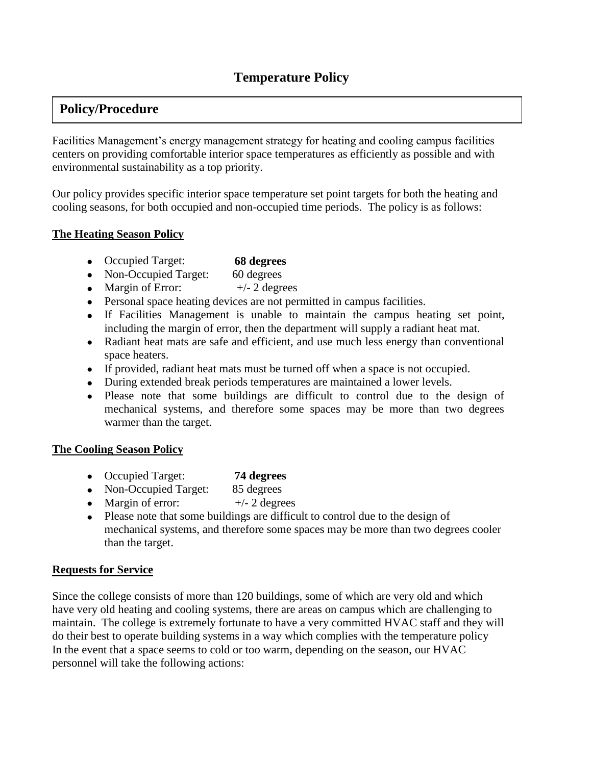# **Temperature Policy**

# **Policy/Procedure**

Facilities Management's energy management strategy for heating and cooling campus facilities centers on providing comfortable interior space temperatures as efficiently as possible and with environmental sustainability as a top priority.

Our policy provides specific interior space temperature set point targets for both the heating and cooling seasons, for both occupied and non-occupied time periods. The policy is as follows:

#### **The Heating Season Policy**

- Occupied Target: **68 degrees**
- Non-Occupied Target: 60 degrees
- Margin of Error:  $+/- 2$  degrees
- Personal space heating devices are not permitted in campus facilities.
- If Facilities Management is unable to maintain the campus heating set point, including the margin of error, then the department will supply a radiant heat mat.
- Radiant heat mats are safe and efficient, and use much less energy than conventional space heaters.
- If provided, radiant heat mats must be turned off when a space is not occupied.
- During extended break periods temperatures are maintained a lower levels.
- Please note that some buildings are difficult to control due to the design of mechanical systems, and therefore some spaces may be more than two degrees warmer than the target.

#### **The Cooling Season Policy**

- Occupied Target: **74 degrees**
- Non-Occupied Target: 85 degrees
- Margin of error:  $+/- 2$  degrees
- Please note that some buildings are difficult to control due to the design of mechanical systems, and therefore some spaces may be more than two degrees cooler than the target.

#### **Requests for Service**

Since the college consists of more than 120 buildings, some of which are very old and which have very old heating and cooling systems, there are areas on campus which are challenging to maintain. The college is extremely fortunate to have a very committed HVAC staff and they will do their best to operate building systems in a way which complies with the temperature policy In the event that a space seems to cold or too warm, depending on the season, our HVAC personnel will take the following actions: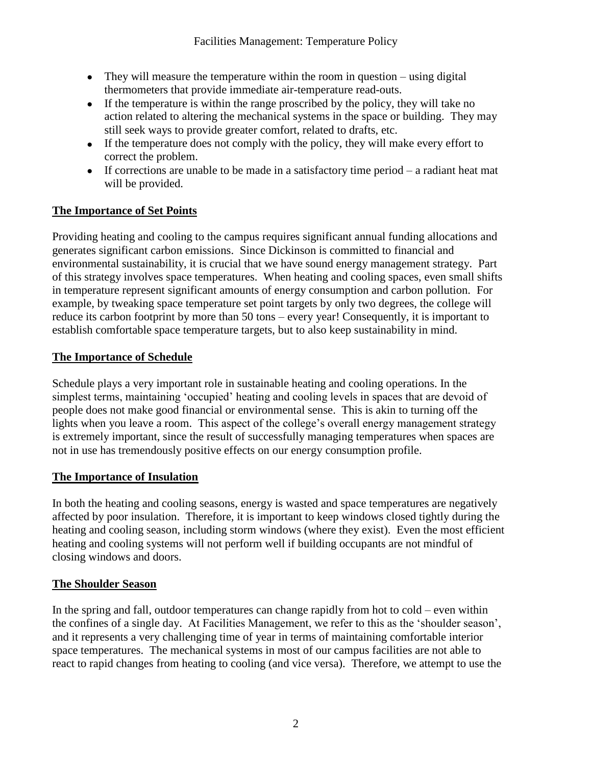- They will measure the temperature within the room in question using digital thermometers that provide immediate air-temperature read-outs.
- If the temperature is within the range proscribed by the policy, they will take no action related to altering the mechanical systems in the space or building. They may still seek ways to provide greater comfort, related to drafts, etc.
- If the temperature does not comply with the policy, they will make every effort to correct the problem.
- If corrections are unable to be made in a satisfactory time period  $-$  a radiant heat mat will be provided.

### **The Importance of Set Points**

Providing heating and cooling to the campus requires significant annual funding allocations and generates significant carbon emissions. Since Dickinson is committed to financial and environmental sustainability, it is crucial that we have sound energy management strategy. Part of this strategy involves space temperatures. When heating and cooling spaces, even small shifts in temperature represent significant amounts of energy consumption and carbon pollution. For example, by tweaking space temperature set point targets by only two degrees, the college will reduce its carbon footprint by more than 50 tons – every year! Consequently, it is important to establish comfortable space temperature targets, but to also keep sustainability in mind.

#### **The Importance of Schedule**

Schedule plays a very important role in sustainable heating and cooling operations. In the simplest terms, maintaining 'occupied' heating and cooling levels in spaces that are devoid of people does not make good financial or environmental sense. This is akin to turning off the lights when you leave a room. This aspect of the college's overall energy management strategy is extremely important, since the result of successfully managing temperatures when spaces are not in use has tremendously positive effects on our energy consumption profile.

#### **The Importance of Insulation**

In both the heating and cooling seasons, energy is wasted and space temperatures are negatively affected by poor insulation. Therefore, it is important to keep windows closed tightly during the heating and cooling season, including storm windows (where they exist). Even the most efficient heating and cooling systems will not perform well if building occupants are not mindful of closing windows and doors.

#### **The Shoulder Season**

In the spring and fall, outdoor temperatures can change rapidly from hot to cold – even within the confines of a single day. At Facilities Management, we refer to this as the 'shoulder season', and it represents a very challenging time of year in terms of maintaining comfortable interior space temperatures. The mechanical systems in most of our campus facilities are not able to react to rapid changes from heating to cooling (and vice versa). Therefore, we attempt to use the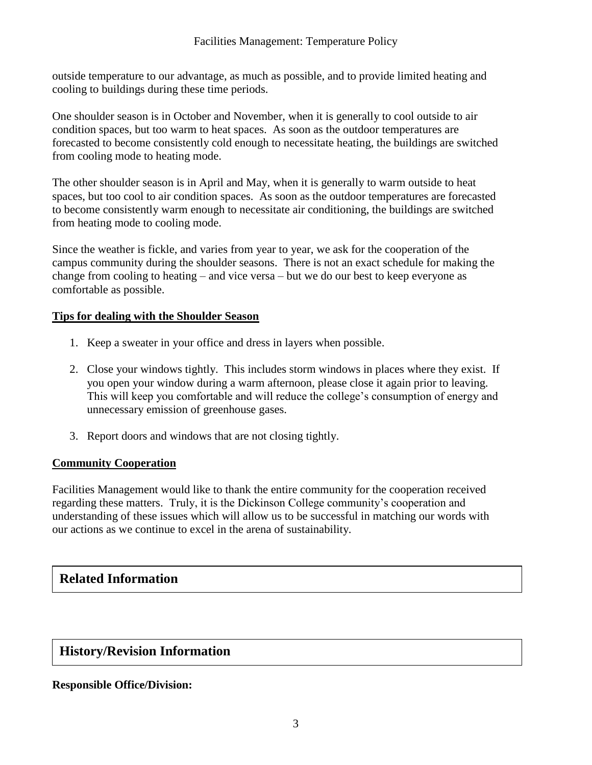outside temperature to our advantage, as much as possible, and to provide limited heating and cooling to buildings during these time periods.

One shoulder season is in October and November, when it is generally to cool outside to air condition spaces, but too warm to heat spaces. As soon as the outdoor temperatures are forecasted to become consistently cold enough to necessitate heating, the buildings are switched from cooling mode to heating mode.

The other shoulder season is in April and May, when it is generally to warm outside to heat spaces, but too cool to air condition spaces. As soon as the outdoor temperatures are forecasted to become consistently warm enough to necessitate air conditioning, the buildings are switched from heating mode to cooling mode.

Since the weather is fickle, and varies from year to year, we ask for the cooperation of the campus community during the shoulder seasons. There is not an exact schedule for making the change from cooling to heating – and vice versa – but we do our best to keep everyone as comfortable as possible.

#### **Tips for dealing with the Shoulder Season**

- 1. Keep a sweater in your office and dress in layers when possible.
- 2. Close your windows tightly. This includes storm windows in places where they exist. If you open your window during a warm afternoon, please close it again prior to leaving. This will keep you comfortable and will reduce the college's consumption of energy and unnecessary emission of greenhouse gases.
- 3. Report doors and windows that are not closing tightly.

#### **Community Cooperation**

Facilities Management would like to thank the entire community for the cooperation received regarding these matters. Truly, it is the Dickinson College community's cooperation and understanding of these issues which will allow us to be successful in matching our words with our actions as we continue to excel in the arena of sustainability.

# **Related Information**

## **History/Revision Information**

#### **Responsible Office/Division:**

 $\overline{\phantom{a}}$